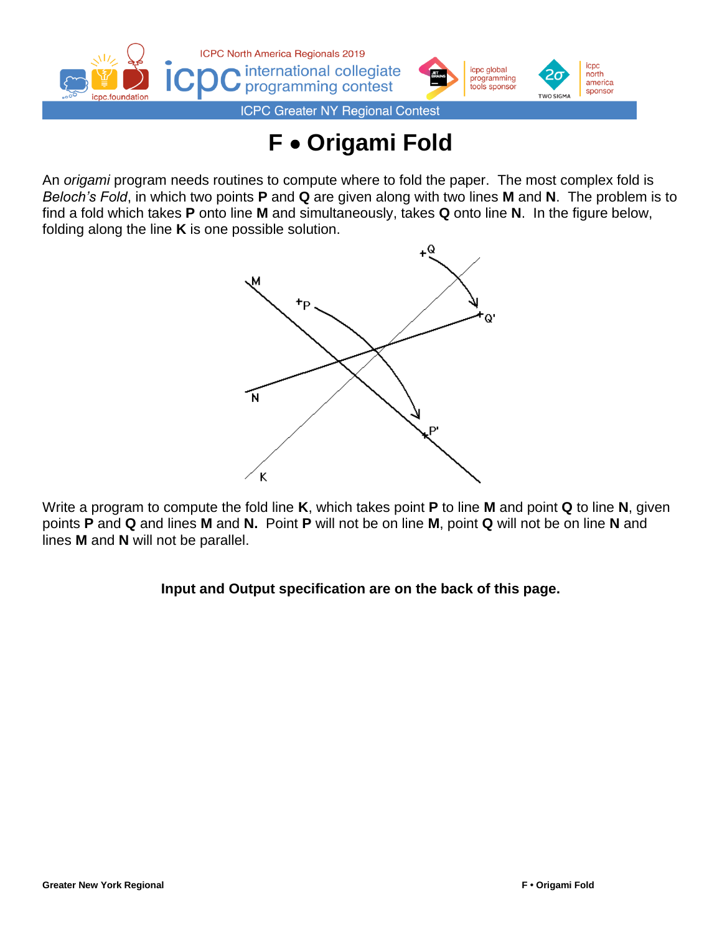

## **F** • **Origami Fold**

An *origami* program needs routines to compute where to fold the paper. The most complex fold is *Beloch's Fold*, in which two points **P** and **Q** are given along with two lines **M** and **N**. The problem is to find a fold which takes **P** onto line **M** and simultaneously, takes **Q** onto line **N**. In the figure below, folding along the line **K** is one possible solution.



Write a program to compute the fold line **K**, which takes point **P** to line **M** and point **Q** to line **N**, given points **P** and **Q** and lines **M** and **N.** Point **P** will not be on line **M**, point **Q** will not be on line **N** and lines **M** and **N** will not be parallel.

## **Input and Output specification are on the back of this page.**